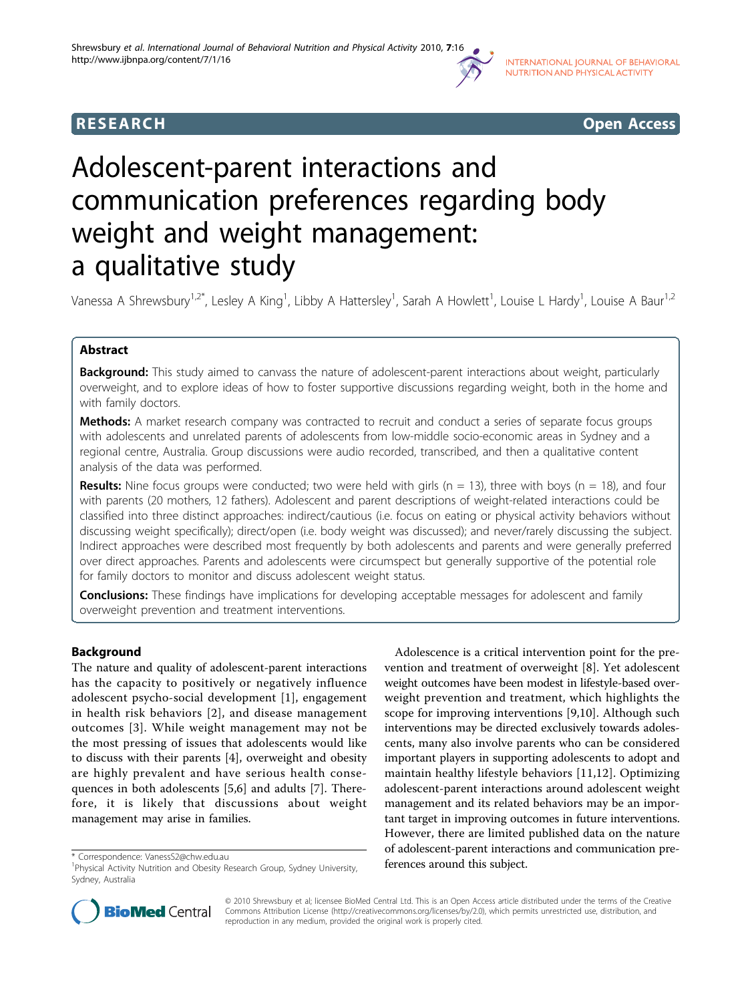

# Adolescent-parent interactions and communication preferences regarding body weight and weight management: a qualitative study

Vanessa A Shrewsbury<sup>1,2\*</sup>, Lesley A King<sup>1</sup>, Libby A Hattersley<sup>1</sup>, Sarah A Howlett<sup>1</sup>, Louise L Hardy<sup>1</sup>, Louise A Baur<sup>1,2</sup>

# Abstract

**Background:** This study aimed to canvass the nature of adolescent-parent interactions about weight, particularly overweight, and to explore ideas of how to foster supportive discussions regarding weight, both in the home and with family doctors.

**Methods:** A market research company was contracted to recruit and conduct a series of separate focus groups with adolescents and unrelated parents of adolescents from low-middle socio-economic areas in Sydney and a regional centre, Australia. Group discussions were audio recorded, transcribed, and then a qualitative content analysis of the data was performed.

**Results:** Nine focus groups were conducted; two were held with girls ( $n = 13$ ), three with boys ( $n = 18$ ), and four with parents (20 mothers, 12 fathers). Adolescent and parent descriptions of weight-related interactions could be classified into three distinct approaches: indirect/cautious (i.e. focus on eating or physical activity behaviors without discussing weight specifically); direct/open (i.e. body weight was discussed); and never/rarely discussing the subject. Indirect approaches were described most frequently by both adolescents and parents and were generally preferred over direct approaches. Parents and adolescents were circumspect but generally supportive of the potential role for family doctors to monitor and discuss adolescent weight status.

**Conclusions:** These findings have implications for developing acceptable messages for adolescent and family overweight prevention and treatment interventions.

# Background

The nature and quality of adolescent-parent interactions has the capacity to positively or negatively influence adolescent psycho-social development [[1\]](#page-6-0), engagement in health risk behaviors [[2](#page-6-0)], and disease management outcomes [\[3\]](#page-6-0). While weight management may not be the most pressing of issues that adolescents would like to discuss with their parents [\[4](#page-6-0)], overweight and obesity are highly prevalent and have serious health consequences in both adolescents [\[5](#page-6-0),[6\]](#page-6-0) and adults [[7\]](#page-6-0). Therefore, it is likely that discussions about weight management may arise in families.

Adolescence is a critical intervention point for the prevention and treatment of overweight [\[8](#page-6-0)]. Yet adolescent weight outcomes have been modest in lifestyle-based overweight prevention and treatment, which highlights the scope for improving interventions [[9,10](#page-6-0)]. Although such interventions may be directed exclusively towards adolescents, many also involve parents who can be considered important players in supporting adolescents to adopt and maintain healthy lifestyle behaviors [[11,12](#page-6-0)]. Optimizing adolescent-parent interactions around adolescent weight management and its related behaviors may be an important target in improving outcomes in future interventions. However, there are limited published data on the nature of adolescent-parent interactions and communication pre-



© 2010 Shrewsbury et al; licensee BioMed Central Ltd. This is an Open Access article distributed under the terms of the Creative Commons Attribution License [\(http://creativecommons.org/licenses/by/2.0](http://creativecommons.org/licenses/by/2.0)), which permits unrestricted use, distribution, and reproduction in any medium, provided the original work is properly cited.

<sup>\*</sup> Correspondence: [VanessS2@chw.edu.au](mailto:VanessS2@chw.edu.au)<br><sup>1</sup>Physical Activity Nutrition and Obesity Research Group, Sydney University, **ferences around this subject.** Sydney, Australia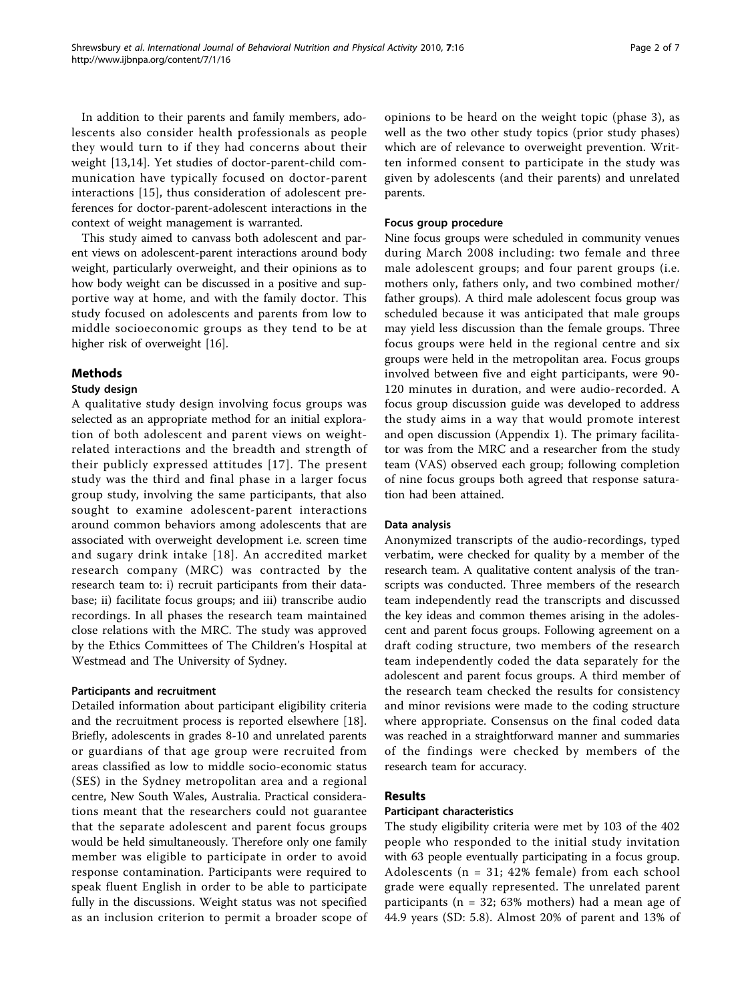In addition to their parents and family members, adolescents also consider health professionals as people they would turn to if they had concerns about their weight [[13,14](#page-6-0)]. Yet studies of doctor-parent-child communication have typically focused on doctor-parent interactions [[15](#page-6-0)], thus consideration of adolescent preferences for doctor-parent-adolescent interactions in the context of weight management is warranted.

This study aimed to canvass both adolescent and parent views on adolescent-parent interactions around body weight, particularly overweight, and their opinions as to how body weight can be discussed in a positive and supportive way at home, and with the family doctor. This study focused on adolescents and parents from low to middle socioeconomic groups as they tend to be at higher risk of overweight [[16\]](#page-6-0).

## Methods

#### Study design

A qualitative study design involving focus groups was selected as an appropriate method for an initial exploration of both adolescent and parent views on weightrelated interactions and the breadth and strength of their publicly expressed attitudes [[17](#page-6-0)]. The present study was the third and final phase in a larger focus group study, involving the same participants, that also sought to examine adolescent-parent interactions around common behaviors among adolescents that are associated with overweight development i.e. screen time and sugary drink intake [[18\]](#page-6-0). An accredited market research company (MRC) was contracted by the research team to: i) recruit participants from their database; ii) facilitate focus groups; and iii) transcribe audio recordings. In all phases the research team maintained close relations with the MRC. The study was approved by the Ethics Committees of The Children's Hospital at Westmead and The University of Sydney.

## Participants and recruitment

Detailed information about participant eligibility criteria and the recruitment process is reported elsewhere [\[18](#page-6-0)]. Briefly, adolescents in grades 8-10 and unrelated parents or guardians of that age group were recruited from areas classified as low to middle socio-economic status (SES) in the Sydney metropolitan area and a regional centre, New South Wales, Australia. Practical considerations meant that the researchers could not guarantee that the separate adolescent and parent focus groups would be held simultaneously. Therefore only one family member was eligible to participate in order to avoid response contamination. Participants were required to speak fluent English in order to be able to participate fully in the discussions. Weight status was not specified as an inclusion criterion to permit a broader scope of opinions to be heard on the weight topic (phase 3), as well as the two other study topics (prior study phases) which are of relevance to overweight prevention. Written informed consent to participate in the study was given by adolescents (and their parents) and unrelated parents.

## Focus group procedure

Nine focus groups were scheduled in community venues during March 2008 including: two female and three male adolescent groups; and four parent groups (i.e. mothers only, fathers only, and two combined mother/ father groups). A third male adolescent focus group was scheduled because it was anticipated that male groups may yield less discussion than the female groups. Three focus groups were held in the regional centre and six groups were held in the metropolitan area. Focus groups involved between five and eight participants, were 90- 120 minutes in duration, and were audio-recorded. A focus group discussion guide was developed to address the study aims in a way that would promote interest and open discussion (Appendix 1). The primary facilitator was from the MRC and a researcher from the study team (VAS) observed each group; following completion of nine focus groups both agreed that response saturation had been attained.

## Data analysis

Anonymized transcripts of the audio-recordings, typed verbatim, were checked for quality by a member of the research team. A qualitative content analysis of the transcripts was conducted. Three members of the research team independently read the transcripts and discussed the key ideas and common themes arising in the adolescent and parent focus groups. Following agreement on a draft coding structure, two members of the research team independently coded the data separately for the adolescent and parent focus groups. A third member of the research team checked the results for consistency and minor revisions were made to the coding structure where appropriate. Consensus on the final coded data was reached in a straightforward manner and summaries of the findings were checked by members of the research team for accuracy.

## Results

## Participant characteristics

The study eligibility criteria were met by 103 of the 402 people who responded to the initial study invitation with 63 people eventually participating in a focus group. Adolescents (n = 31; 42% female) from each school grade were equally represented. The unrelated parent participants ( $n = 32$ ; 63% mothers) had a mean age of 44.9 years (SD: 5.8). Almost 20% of parent and 13% of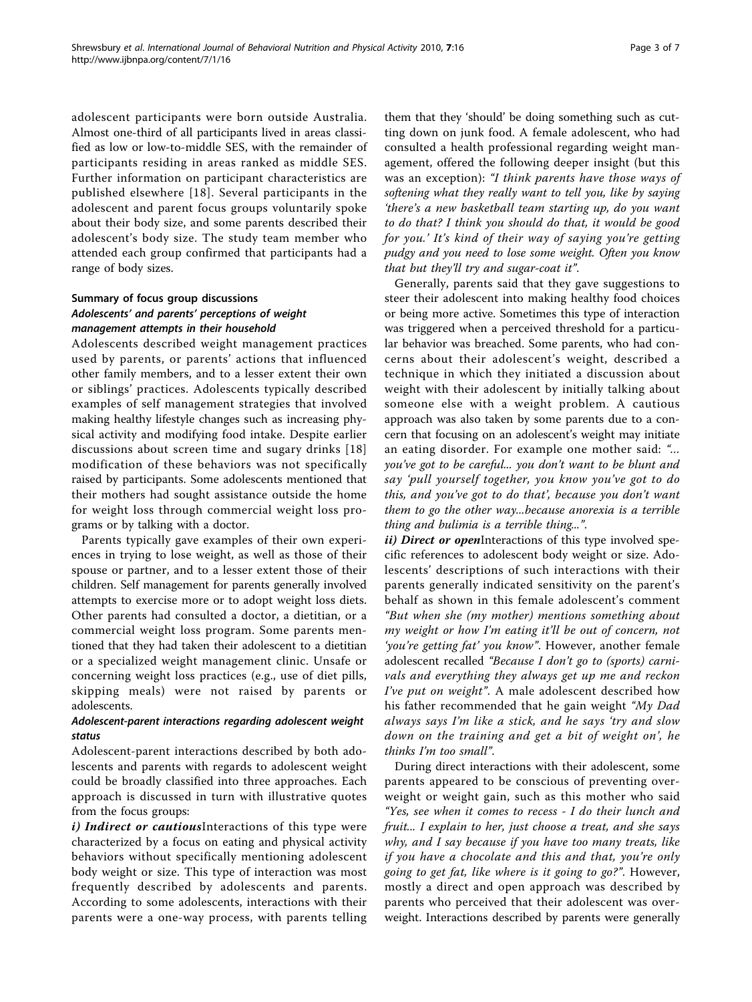adolescent participants were born outside Australia. Almost one-third of all participants lived in areas classified as low or low-to-middle SES, with the remainder of participants residing in areas ranked as middle SES. Further information on participant characteristics are published elsewhere [[18\]](#page-6-0). Several participants in the adolescent and parent focus groups voluntarily spoke about their body size, and some parents described their adolescent's body size. The study team member who attended each group confirmed that participants had a range of body sizes.

# Summary of focus group discussions Adolescents' and parents' perceptions of weight management attempts in their household

Adolescents described weight management practices used by parents, or parents' actions that influenced other family members, and to a lesser extent their own or siblings' practices. Adolescents typically described examples of self management strategies that involved making healthy lifestyle changes such as increasing physical activity and modifying food intake. Despite earlier discussions about screen time and sugary drinks [[18](#page-6-0)] modification of these behaviors was not specifically raised by participants. Some adolescents mentioned that their mothers had sought assistance outside the home for weight loss through commercial weight loss programs or by talking with a doctor.

Parents typically gave examples of their own experiences in trying to lose weight, as well as those of their spouse or partner, and to a lesser extent those of their children. Self management for parents generally involved attempts to exercise more or to adopt weight loss diets. Other parents had consulted a doctor, a dietitian, or a commercial weight loss program. Some parents mentioned that they had taken their adolescent to a dietitian or a specialized weight management clinic. Unsafe or concerning weight loss practices (e.g., use of diet pills, skipping meals) were not raised by parents or adolescents.

# Adolescent-parent interactions regarding adolescent weight status

Adolescent-parent interactions described by both adolescents and parents with regards to adolescent weight could be broadly classified into three approaches. Each approach is discussed in turn with illustrative quotes from the focus groups:

i) Indirect or cautious Interactions of this type were characterized by a focus on eating and physical activity behaviors without specifically mentioning adolescent body weight or size. This type of interaction was most frequently described by adolescents and parents. According to some adolescents, interactions with their parents were a one-way process, with parents telling

them that they 'should' be doing something such as cutting down on junk food. A female adolescent, who had consulted a health professional regarding weight management, offered the following deeper insight (but this was an exception): "I think parents have those ways of softening what they really want to tell you, like by saying 'there's a new basketball team starting up, do you want to do that? I think you should do that, it would be good for you.' It's kind of their way of saying you're getting pudgy and you need to lose some weight. Often you know that but they'll try and sugar-coat it".

Generally, parents said that they gave suggestions to steer their adolescent into making healthy food choices or being more active. Sometimes this type of interaction was triggered when a perceived threshold for a particular behavior was breached. Some parents, who had concerns about their adolescent's weight, described a technique in which they initiated a discussion about weight with their adolescent by initially talking about someone else with a weight problem. A cautious approach was also taken by some parents due to a concern that focusing on an adolescent's weight may initiate an eating disorder. For example one mother said: "... you've got to be careful... you don't want to be blunt and say 'pull yourself together, you know you've got to do this, and you've got to do that', because you don't want them to go the other way...because anorexia is a terrible thing and bulimia is a terrible thing...".

ii) Direct or openInteractions of this type involved specific references to adolescent body weight or size. Adolescents' descriptions of such interactions with their parents generally indicated sensitivity on the parent's behalf as shown in this female adolescent's comment "But when she (my mother) mentions something about my weight or how I'm eating it'll be out of concern, not 'you're getting fat' you know". However, another female adolescent recalled "Because I don't go to (sports) carnivals and everything they always get up me and reckon I've put on weight". A male adolescent described how his father recommended that he gain weight "My Dad always says I'm like a stick, and he says 'try and slow down on the training and get a bit of weight on', he thinks I'm too small".

During direct interactions with their adolescent, some parents appeared to be conscious of preventing overweight or weight gain, such as this mother who said "Yes, see when it comes to recess - I do their lunch and fruit... I explain to her, just choose a treat, and she says why, and I say because if you have too many treats, like if you have a chocolate and this and that, you're only going to get fat, like where is it going to go?". However, mostly a direct and open approach was described by parents who perceived that their adolescent was overweight. Interactions described by parents were generally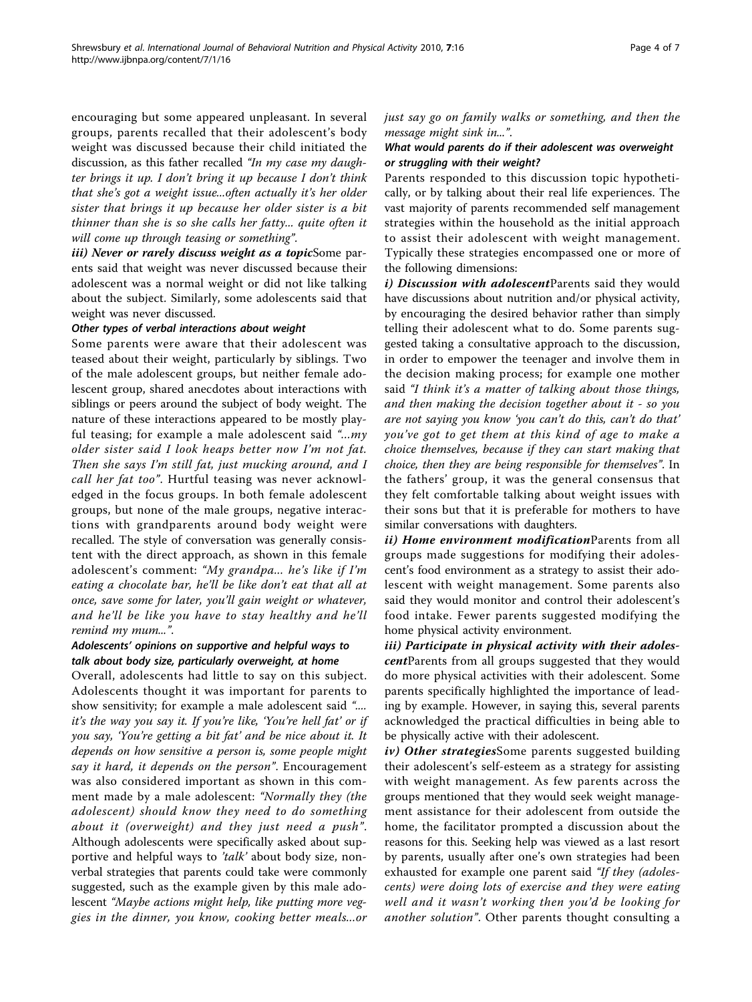encouraging but some appeared unpleasant. In several groups, parents recalled that their adolescent's body weight was discussed because their child initiated the discussion, as this father recalled "In my case my daughter brings it up. I don't bring it up because I don't think that she's got a weight issue...often actually it's her older sister that brings it up because her older sister is a bit thinner than she is so she calls her fatty... quite often it will come up through teasing or something".

iii) Never or rarely discuss weight as a topicSome parents said that weight was never discussed because their adolescent was a normal weight or did not like talking about the subject. Similarly, some adolescents said that weight was never discussed.

#### Other types of verbal interactions about weight

Some parents were aware that their adolescent was teased about their weight, particularly by siblings. Two of the male adolescent groups, but neither female adolescent group, shared anecdotes about interactions with siblings or peers around the subject of body weight. The nature of these interactions appeared to be mostly playful teasing; for example a male adolescent said "...my older sister said I look heaps better now I'm not fat. Then she says I'm still fat, just mucking around, and I call her fat too". Hurtful teasing was never acknowledged in the focus groups. In both female adolescent groups, but none of the male groups, negative interactions with grandparents around body weight were recalled. The style of conversation was generally consistent with the direct approach, as shown in this female adolescent's comment: "My grandpa... he's like if I'm eating a chocolate bar, he'll be like don't eat that all at once, save some for later, you'll gain weight or whatever, and he'll be like you have to stay healthy and he'll remind my mum...".

#### Adolescents' opinions on supportive and helpful ways to talk about body size, particularly overweight, at home

Overall, adolescents had little to say on this subject. Adolescents thought it was important for parents to show sensitivity; for example a male adolescent said ".... it's the way you say it. If you're like, 'You're hell fat' or if you say, 'You're getting a bit fat' and be nice about it. It depends on how sensitive a person is, some people might say it hard, it depends on the person". Encouragement was also considered important as shown in this comment made by a male adolescent: "Normally they (the adolescent) should know they need to do something about it (overweight) and they just need a push". Although adolescents were specifically asked about supportive and helpful ways to 'talk' about body size, nonverbal strategies that parents could take were commonly suggested, such as the example given by this male adolescent "Maybe actions might help, like putting more veggies in the dinner, you know, cooking better meals...or

just say go on family walks or something, and then the message might sink in...".

## What would parents do if their adolescent was overweight or struggling with their weight?

Parents responded to this discussion topic hypothetically, or by talking about their real life experiences. The vast majority of parents recommended self management strategies within the household as the initial approach to assist their adolescent with weight management. Typically these strategies encompassed one or more of the following dimensions:

i) Discussion with adolescent Parents said they would have discussions about nutrition and/or physical activity, by encouraging the desired behavior rather than simply telling their adolescent what to do. Some parents suggested taking a consultative approach to the discussion, in order to empower the teenager and involve them in the decision making process; for example one mother said "I think it's a matter of talking about those things, and then making the decision together about it - so you are not saying you know 'you can't do this, can't do that' you've got to get them at this kind of age to make a choice themselves, because if they can start making that choice, then they are being responsible for themselves". In the fathers' group, it was the general consensus that they felt comfortable talking about weight issues with their sons but that it is preferable for mothers to have similar conversations with daughters.

ii) Home environment modificationParents from all groups made suggestions for modifying their adolescent's food environment as a strategy to assist their adolescent with weight management. Some parents also said they would monitor and control their adolescent's food intake. Fewer parents suggested modifying the home physical activity environment.

iii) Participate in physical activity with their adolescentParents from all groups suggested that they would do more physical activities with their adolescent. Some parents specifically highlighted the importance of leading by example. However, in saying this, several parents acknowledged the practical difficulties in being able to be physically active with their adolescent.

iv) Other strategiesSome parents suggested building their adolescent's self-esteem as a strategy for assisting with weight management. As few parents across the groups mentioned that they would seek weight management assistance for their adolescent from outside the home, the facilitator prompted a discussion about the reasons for this. Seeking help was viewed as a last resort by parents, usually after one's own strategies had been exhausted for example one parent said "If they (adolescents) were doing lots of exercise and they were eating well and it wasn't working then you'd be looking for another solution". Other parents thought consulting a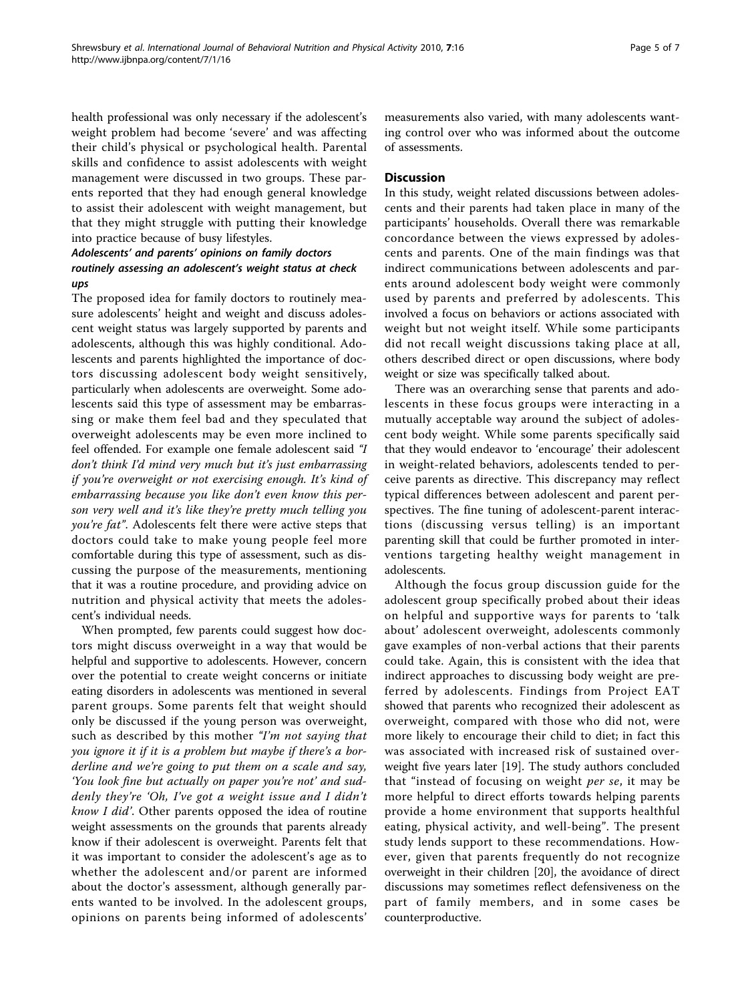health professional was only necessary if the adolescent's weight problem had become 'severe' and was affecting their child's physical or psychological health. Parental skills and confidence to assist adolescents with weight management were discussed in two groups. These parents reported that they had enough general knowledge to assist their adolescent with weight management, but that they might struggle with putting their knowledge into practice because of busy lifestyles.

# Adolescents' and parents' opinions on family doctors routinely assessing an adolescent's weight status at check ups

The proposed idea for family doctors to routinely measure adolescents' height and weight and discuss adolescent weight status was largely supported by parents and adolescents, although this was highly conditional. Adolescents and parents highlighted the importance of doctors discussing adolescent body weight sensitively, particularly when adolescents are overweight. Some adolescents said this type of assessment may be embarrassing or make them feel bad and they speculated that overweight adolescents may be even more inclined to feel offended. For example one female adolescent said "I don't think I'd mind very much but it's just embarrassing if you're overweight or not exercising enough. It's kind of embarrassing because you like don't even know this person very well and it's like they're pretty much telling you you're fat". Adolescents felt there were active steps that doctors could take to make young people feel more comfortable during this type of assessment, such as discussing the purpose of the measurements, mentioning that it was a routine procedure, and providing advice on nutrition and physical activity that meets the adolescent's individual needs.

When prompted, few parents could suggest how doctors might discuss overweight in a way that would be helpful and supportive to adolescents. However, concern over the potential to create weight concerns or initiate eating disorders in adolescents was mentioned in several parent groups. Some parents felt that weight should only be discussed if the young person was overweight, such as described by this mother "I'm not saying that you ignore it if it is a problem but maybe if there's a borderline and we're going to put them on a scale and say, 'You look fine but actually on paper you're not' and suddenly they're 'Oh, I've got a weight issue and I didn't know I did'. Other parents opposed the idea of routine weight assessments on the grounds that parents already know if their adolescent is overweight. Parents felt that it was important to consider the adolescent's age as to whether the adolescent and/or parent are informed about the doctor's assessment, although generally parents wanted to be involved. In the adolescent groups, opinions on parents being informed of adolescents'

measurements also varied, with many adolescents wanting control over who was informed about the outcome of assessments.

# **Discussion**

In this study, weight related discussions between adolescents and their parents had taken place in many of the participants' households. Overall there was remarkable concordance between the views expressed by adolescents and parents. One of the main findings was that indirect communications between adolescents and parents around adolescent body weight were commonly used by parents and preferred by adolescents. This involved a focus on behaviors or actions associated with weight but not weight itself. While some participants did not recall weight discussions taking place at all, others described direct or open discussions, where body weight or size was specifically talked about.

There was an overarching sense that parents and adolescents in these focus groups were interacting in a mutually acceptable way around the subject of adolescent body weight. While some parents specifically said that they would endeavor to 'encourage' their adolescent in weight-related behaviors, adolescents tended to perceive parents as directive. This discrepancy may reflect typical differences between adolescent and parent perspectives. The fine tuning of adolescent-parent interactions (discussing versus telling) is an important parenting skill that could be further promoted in interventions targeting healthy weight management in adolescents.

Although the focus group discussion guide for the adolescent group specifically probed about their ideas on helpful and supportive ways for parents to 'talk about' adolescent overweight, adolescents commonly gave examples of non-verbal actions that their parents could take. Again, this is consistent with the idea that indirect approaches to discussing body weight are preferred by adolescents. Findings from Project EAT showed that parents who recognized their adolescent as overweight, compared with those who did not, were more likely to encourage their child to diet; in fact this was associated with increased risk of sustained overweight five years later [\[19](#page-6-0)]. The study authors concluded that "instead of focusing on weight per se, it may be more helpful to direct efforts towards helping parents provide a home environment that supports healthful eating, physical activity, and well-being". The present study lends support to these recommendations. However, given that parents frequently do not recognize overweight in their children [[20\]](#page-6-0), the avoidance of direct discussions may sometimes reflect defensiveness on the part of family members, and in some cases be counterproductive.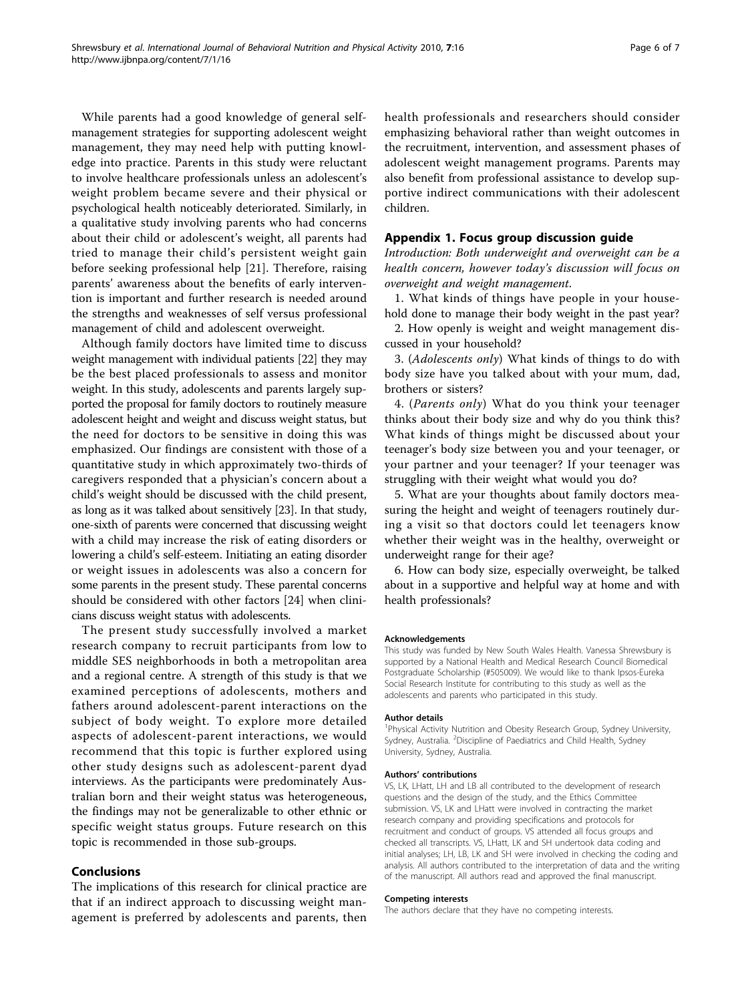While parents had a good knowledge of general selfmanagement strategies for supporting adolescent weight management, they may need help with putting knowledge into practice. Parents in this study were reluctant to involve healthcare professionals unless an adolescent's weight problem became severe and their physical or psychological health noticeably deteriorated. Similarly, in a qualitative study involving parents who had concerns about their child or adolescent's weight, all parents had tried to manage their child's persistent weight gain before seeking professional help [[21\]](#page-6-0). Therefore, raising parents' awareness about the benefits of early intervention is important and further research is needed around the strengths and weaknesses of self versus professional management of child and adolescent overweight.

Although family doctors have limited time to discuss weight management with individual patients [[22](#page-6-0)] they may be the best placed professionals to assess and monitor weight. In this study, adolescents and parents largely supported the proposal for family doctors to routinely measure adolescent height and weight and discuss weight status, but the need for doctors to be sensitive in doing this was emphasized. Our findings are consistent with those of a quantitative study in which approximately two-thirds of caregivers responded that a physician's concern about a child's weight should be discussed with the child present, as long as it was talked about sensitively [[23](#page-6-0)]. In that study, one-sixth of parents were concerned that discussing weight with a child may increase the risk of eating disorders or lowering a child's self-esteem. Initiating an eating disorder or weight issues in adolescents was also a concern for some parents in the present study. These parental concerns should be considered with other factors [[24\]](#page-6-0) when clinicians discuss weight status with adolescents.

The present study successfully involved a market research company to recruit participants from low to middle SES neighborhoods in both a metropolitan area and a regional centre. A strength of this study is that we examined perceptions of adolescents, mothers and fathers around adolescent-parent interactions on the subject of body weight. To explore more detailed aspects of adolescent-parent interactions, we would recommend that this topic is further explored using other study designs such as adolescent-parent dyad interviews. As the participants were predominately Australian born and their weight status was heterogeneous, the findings may not be generalizable to other ethnic or specific weight status groups. Future research on this topic is recommended in those sub-groups.

#### Conclusions

The implications of this research for clinical practice are that if an indirect approach to discussing weight management is preferred by adolescents and parents, then health professionals and researchers should consider emphasizing behavioral rather than weight outcomes in the recruitment, intervention, and assessment phases of adolescent weight management programs. Parents may also benefit from professional assistance to develop supportive indirect communications with their adolescent children.

#### Appendix 1. Focus group discussion guide

Introduction: Both underweight and overweight can be a health concern, however today's discussion will focus on overweight and weight management.

1. What kinds of things have people in your household done to manage their body weight in the past year?

2. How openly is weight and weight management discussed in your household?

3. (Adolescents only) What kinds of things to do with body size have you talked about with your mum, dad, brothers or sisters?

4. (Parents only) What do you think your teenager thinks about their body size and why do you think this? What kinds of things might be discussed about your teenager's body size between you and your teenager, or your partner and your teenager? If your teenager was struggling with their weight what would you do?

5. What are your thoughts about family doctors measuring the height and weight of teenagers routinely during a visit so that doctors could let teenagers know whether their weight was in the healthy, overweight or underweight range for their age?

6. How can body size, especially overweight, be talked about in a supportive and helpful way at home and with health professionals?

#### Acknowledgements

This study was funded by New South Wales Health. Vanessa Shrewsbury is supported by a National Health and Medical Research Council Biomedical Postgraduate Scholarship (#505009). We would like to thank Ipsos-Eureka Social Research Institute for contributing to this study as well as the adolescents and parents who participated in this study.

#### Author details

<sup>1</sup> Physical Activity Nutrition and Obesity Research Group, Sydney University, Sydney, Australia. <sup>2</sup>Discipline of Paediatrics and Child Health, Sydney University, Sydney, Australia.

#### Authors' contributions

VS, LK, LHatt, LH and LB all contributed to the development of research questions and the design of the study, and the Ethics Committee submission. VS, LK and LHatt were involved in contracting the market research company and providing specifications and protocols for recruitment and conduct of groups. VS attended all focus groups and checked all transcripts. VS, LHatt, LK and SH undertook data coding and initial analyses; LH, LB, LK and SH were involved in checking the coding and analysis. All authors contributed to the interpretation of data and the writing of the manuscript. All authors read and approved the final manuscript.

#### Competing interests

The authors declare that they have no competing interests.